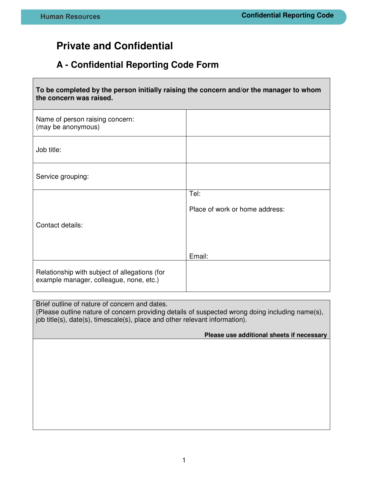## **Private and Confidential**

## **A - Confidential Reporting Code Form**

| To be completed by the person initially raising the concern and/or the manager to whom<br>the concern was raised. |                                |  |
|-------------------------------------------------------------------------------------------------------------------|--------------------------------|--|
| Name of person raising concern:<br>(may be anonymous)                                                             |                                |  |
| Job title:                                                                                                        |                                |  |
| Service grouping:                                                                                                 |                                |  |
|                                                                                                                   | Tel:                           |  |
|                                                                                                                   | Place of work or home address: |  |
| Contact details:                                                                                                  |                                |  |
|                                                                                                                   | Email:                         |  |
| Relationship with subject of allegations (for<br>example manager, colleague, none, etc.)                          |                                |  |

Brief outline of nature of concern and dates.

(Please outline nature of concern providing details of suspected wrong doing including name(s), job title(s), date(s), timescale(s), place and other relevant information).

## **Please use additional sheets if necessary**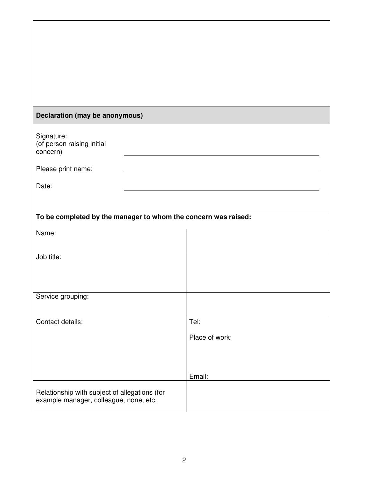## **Declaration (may be anonymous)**

| Signature:                 |
|----------------------------|
| (of person raising initial |
| concern)                   |

Please print name:

Date:

| To be completed by the manager to whom the concern was raised:                          |                |  |
|-----------------------------------------------------------------------------------------|----------------|--|
| Name:                                                                                   |                |  |
| Job title:                                                                              |                |  |
| Service grouping:                                                                       |                |  |
| Contact details:                                                                        | Tel:           |  |
|                                                                                         | Place of work: |  |
|                                                                                         | Email:         |  |
| Relationship with subject of allegations (for<br>example manager, colleague, none, etc. |                |  |